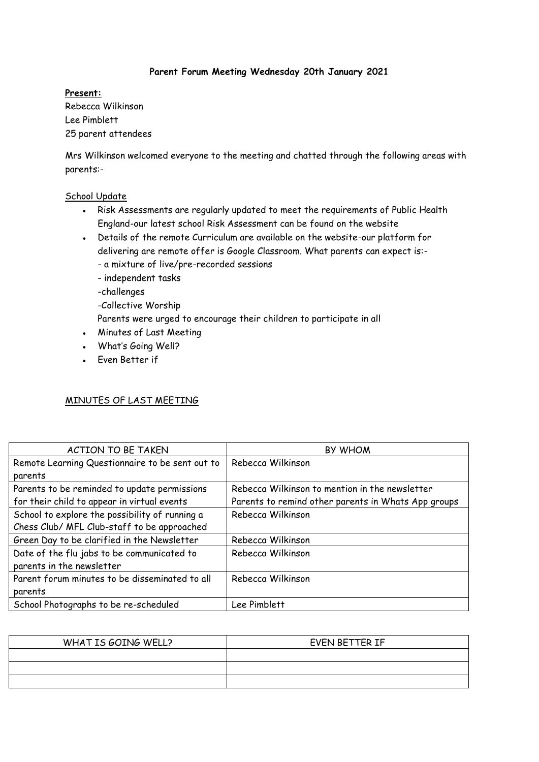## **Parent Forum Meeting Wednesday 20th January 2021**

### **Present:**

Rebecca Wilkinson Lee Pimblett 25 parent attendees

Mrs Wilkinson welcomed everyone to the meeting and chatted through the following areas with parents:-

### School Update

- Risk Assessments are regularly updated to meet the requirements of Public Health England-our latest school Risk Assessment can be found on the website
- Details of the remote Curriculum are available on the website-our platform for delivering are remote offer is Google Classroom. What parents can expect is:-
	- a mixture of live/pre-recorded sessions
	- independent tasks
	- -challenges
	- -Collective Worship
	- Parents were urged to encourage their children to participate in all
- Minutes of Last Meeting
- What's Going Well?
- Even Better if

## MINUTES OF LAST MEETING

| <b>ACTION TO BE TAKEN</b>                       | <b>BY WHOM</b>                                      |
|-------------------------------------------------|-----------------------------------------------------|
| Remote Learning Questionnaire to be sent out to | Rebecca Wilkinson                                   |
| parents                                         |                                                     |
| Parents to be reminded to update permissions    | Rebecca Wilkinson to mention in the newsletter      |
| for their child to appear in virtual events     | Parents to remind other parents in Whats App groups |
| School to explore the possibility of running a  | Rebecca Wilkinson                                   |
| Chess Club/ MFL Club-staff to be approached     |                                                     |
| Green Day to be clarified in the Newsletter     | Rebecca Wilkinson                                   |
| Date of the flu jabs to be communicated to      | Rebecca Wilkinson                                   |
| parents in the newsletter                       |                                                     |
| Parent forum minutes to be disseminated to all  | Rebecca Wilkinson                                   |
| parents                                         |                                                     |
| School Photographs to be re-scheduled           | Lee Pimblett                                        |

| WHAT IS GOING WELL? | EVEN BETTER IF |
|---------------------|----------------|
|                     |                |
|                     |                |
|                     |                |